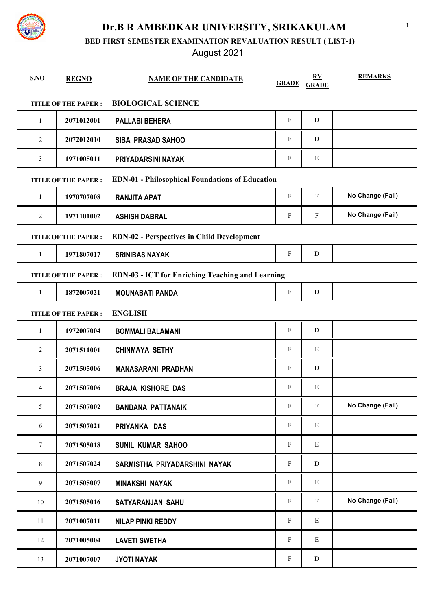**BED FIRST SEMESTER EXAMINATION REVALUATION RESULT ( LIST-1)**

## August 2021

| <b>S.NO</b>    | <b>REGNO</b>               | <b>NAME OF THE CANDIDATE</b>                            | <b>GRADE</b> | RV<br><b>GRADE</b> | <b>REMARKS</b>   |
|----------------|----------------------------|---------------------------------------------------------|--------------|--------------------|------------------|
|                | <b>TITLE OF THE PAPER:</b> | <b>BIOLOGICAL SCIENCE</b>                               |              |                    |                  |
| -1             | 2071012001                 | <b>PALLABI BEHERA</b>                                   | F            | D                  |                  |
| 2              | 2072012010                 | <b>SIBA PRASAD SAHOO</b>                                | F            | D                  |                  |
| 3              | 1971005011                 | PRIYADARSINI NAYAK                                      | F            | E                  |                  |
|                | TITLE OF THE PAPER :       | <b>EDN-01 - Philosophical Foundations of Education</b>  |              |                    |                  |
| $\mathbf{1}$   | 1970707008                 | <b>RANJITA APAT</b>                                     | F            | F                  | No Change (Fail) |
| $\overline{2}$ | 1971101002                 | <b>ASHISH DABRAL</b>                                    | F            | F                  | No Change (Fail) |
|                | <b>TITLE OF THE PAPER:</b> | <b>EDN-02 - Perspectives in Child Development</b>       |              |                    |                  |
| $\mathbf{1}$   | 1971807017                 | <b>SRINIBAS NAYAK</b>                                   | $\mathbf{F}$ | D                  |                  |
|                | <b>TITLE OF THE PAPER:</b> | <b>EDN-03 - ICT for Enriching Teaching and Learning</b> |              |                    |                  |
| $\mathbf{1}$   | 1872007021                 | <b>MOUNABATI PANDA</b>                                  | F            | D                  |                  |
|                | <b>TITLE OF THE PAPER:</b> | <b>ENGLISH</b>                                          |              |                    |                  |
| 1              | 1972007004                 | <b>BOMMALI BALAMANI</b>                                 | F            | D                  |                  |
| 2              | 2071511001                 | <b>CHINMAYA SETHY</b>                                   | F            | E                  |                  |
| 3              | 2071505006                 | <b>MANASARANI PRADHAN</b>                               | F            | D                  |                  |
| 4              | 2071507006                 | <b>BRAJA KISHORE DAS</b>                                | F            | E                  |                  |
| 5              | 2071507002                 | <b>BANDANA PATTANAIK</b>                                | F            | F                  | No Change (Fail) |
| 6              | 2071507021                 | PRIYANKA DAS                                            | F            | E                  |                  |
| $\tau$         | 2071505018                 | <b>SUNIL KUMAR SAHOO</b>                                | $\mathbf F$  | E                  |                  |
| 8              | 2071507024                 | SARMISTHA PRIYADARSHINI NAYAK                           | $\mathbf{F}$ | ${\rm D}$          |                  |
| 9              | 2071505007                 | <b>MINAKSHI NAYAK</b>                                   | $\mathbf F$  | E                  |                  |
| 10             | 2071505016                 | <b>SATYARANJAN SAHU</b>                                 | F            | F                  | No Change (Fail) |
| 11             | 2071007011                 | <b>NILAP PINKI REDDY</b>                                | F            | E                  |                  |
| 12             | 2071005004                 | <b>LAVETI SWETHA</b>                                    | F            | Ε                  |                  |
| 13             | 2071007007                 | <b>JYOTI NAYAK</b>                                      | $\mathbf F$  | D                  |                  |

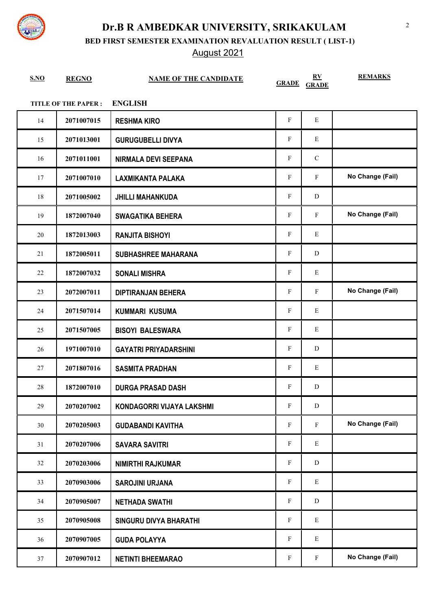

**BED FIRST SEMESTER EXAMINATION REVALUATION RESULT ( LIST-1)**

August 2021

| S.NO | <b>REGNO</b>               | <b>NAME OF THE CANDIDATE</b>  | <b>GRADE</b>              | $\underline{\mathbf{R}}\underline{\mathbf{V}}$<br><b>GRADE</b> | <b>REMARKS</b>   |
|------|----------------------------|-------------------------------|---------------------------|----------------------------------------------------------------|------------------|
|      | <b>TITLE OF THE PAPER:</b> | <b>ENGLISH</b>                |                           |                                                                |                  |
| 14   | 2071007015                 | <b>RESHMA KIRO</b>            | ${\rm F}$                 | E                                                              |                  |
| 15   | 2071013001                 | <b>GURUGUBELLI DIVYA</b>      | F                         | ${\bf E}$                                                      |                  |
| 16   | 2071011001                 | <b>NIRMALA DEVI SEEPANA</b>   | ${\rm F}$                 | ${\bf C}$                                                      |                  |
| 17   | 2071007010                 | <b>LAXMIKANTA PALAKA</b>      | F                         | F                                                              | No Change (Fail) |
| 18   | 2071005002                 | <b>JHILLI MAHANKUDA</b>       | F                         | D                                                              |                  |
| 19   | 1872007040                 | <b>SWAGATIKA BEHERA</b>       | F                         | F                                                              | No Change (Fail) |
| 20   | 1872013003                 | <b>RANJITA BISHOYI</b>        | F                         | Ε                                                              |                  |
| 21   | 1872005011                 | <b>SUBHASHREE MAHARANA</b>    | $\boldsymbol{\mathrm{F}}$ | D                                                              |                  |
| 22   | 1872007032                 | <b>SONALI MISHRA</b>          | $\boldsymbol{\mathrm{F}}$ | Ε                                                              |                  |
| 23   | 2072007011                 | <b>DIPTIRANJAN BEHERA</b>     | F                         | F                                                              | No Change (Fail) |
| 24   | 2071507014                 | <b>KUMMARI KUSUMA</b>         | F                         | Ε                                                              |                  |
| 25   | 2071507005                 | <b>BISOYI BALESWARA</b>       | $\boldsymbol{\mathrm{F}}$ | Ε                                                              |                  |
| 26   | 1971007010                 | <b>GAYATRI PRIYADARSHINI</b>  | $\boldsymbol{\mathrm{F}}$ | D                                                              |                  |
| 27   | 2071807016                 | <b>SASMITA PRADHAN</b>        | F                         | Ε                                                              |                  |
| 28   | 1872007010                 | <b>DURGA PRASAD DASH</b>      | F                         | D                                                              |                  |
| 29   | 2070207002                 | KONDAGORRI VIJAYA LAKSHMI     | F                         | ${\bf D}$                                                      |                  |
| 30   | 2070205003                 | <b>GUDABANDI KAVITHA</b>      | F                         | F                                                              | No Change (Fail) |
| 31   | 2070207006                 | <b>SAVARA SAVITRI</b>         | F                         | Ε                                                              |                  |
| 32   | 2070203006                 | <b>NIMIRTHI RAJKUMAR</b>      | $\boldsymbol{\mathrm{F}}$ | ${\rm D}$                                                      |                  |
| 33   | 2070903006                 | <b>SAROJINI URJANA</b>        | $\boldsymbol{\mathrm{F}}$ | Ε                                                              |                  |
| 34   | 2070905007                 | <b>NETHADA SWATHI</b>         | $\boldsymbol{\mathrm{F}}$ | D                                                              |                  |
| 35   | 2070905008                 | <b>SINGURU DIVYA BHARATHI</b> | F                         | Ε                                                              |                  |
| 36   | 2070907005                 | <b>GUDA POLAYYA</b>           | F                         | Ε                                                              |                  |
| 37   | 2070907012                 | <b>NETINTI BHEEMARAO</b>      | $\boldsymbol{\mathrm{F}}$ | F                                                              | No Change (Fail) |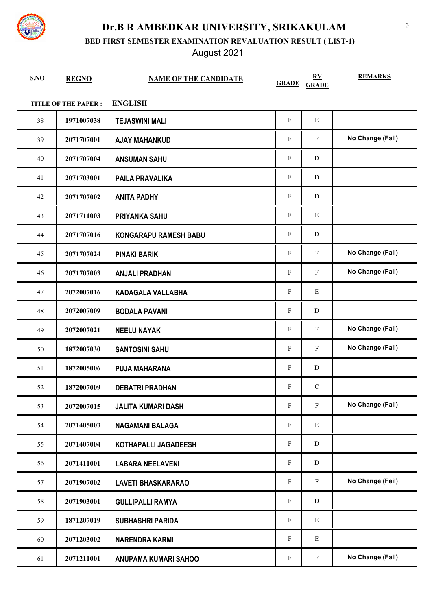

**BED FIRST SEMESTER EXAMINATION REVALUATION RESULT ( LIST-1)**

August 2021

| S.NO | <b>REGNO</b>               | <b>NAME OF THE CANDIDATE</b> | <b>GRADE</b> | $\underline{\mathbf{R}}\underline{\mathbf{V}}$<br><b>GRADE</b> | <b>REMARKS</b>   |
|------|----------------------------|------------------------------|--------------|----------------------------------------------------------------|------------------|
|      | <b>TITLE OF THE PAPER:</b> | <b>ENGLISH</b>               |              |                                                                |                  |
| 38   | 1971007038                 | <b>TEJASWINI MALI</b>        | $\mathbf F$  | E                                                              |                  |
| 39   | 2071707001                 | <b>AJAY MAHANKUD</b>         | F            | $\mathbf{F}$                                                   | No Change (Fail) |
| 40   | 2071707004                 | <b>ANSUMAN SAHU</b>          | F            | D                                                              |                  |
| 41   | 2071703001                 | <b>PAILA PRAVALIKA</b>       | $\mathbf F$  | D                                                              |                  |
| 42   | 2071707002                 | <b>ANITA PADHY</b>           | F            | ${\bf D}$                                                      |                  |
| 43   | 2071711003                 | <b>PRIYANKA SAHU</b>         | $\mathbf{F}$ | E                                                              |                  |
| 44   | 2071707016                 | <b>KONGARAPU RAMESH BABU</b> | F            | D                                                              |                  |
| 45   | 2071707024                 | <b>PINAKI BARIK</b>          | $\rm F$      | $\mathbf F$                                                    | No Change (Fail) |
| 46   | 2071707003                 | <b>ANJALI PRADHAN</b>        | $\rm F$      | $\mathbf F$                                                    | No Change (Fail) |
| 47   | 2072007016                 | KADAGALA VALLABHA            | F            | E                                                              |                  |
| 48   | 2072007009                 | <b>BODALA PAVANI</b>         | F            | D                                                              |                  |
| 49   | 2072007021                 | <b>NEELU NAYAK</b>           | $\mathbf F$  | $\mathbf F$                                                    | No Change (Fail) |
| 50   | 1872007030                 | <b>SANTOSINI SAHU</b>        | F            | $\mathbf{F}$                                                   | No Change (Fail) |
| 51   | 1872005006                 | <b>PUJA MAHARANA</b>         | $\rm F$      | ${\bf D}$                                                      |                  |
| 52   | 1872007009                 | <b>DEBATRI PRADHAN</b>       | F            | $\mathbf C$                                                    |                  |
| 53   | 2072007015                 | <b>JALITA KUMARI DASH</b>    | $\rm F$      | $\mathbf F$                                                    | No Change (Fail) |
| 54   | 2071405003                 | <b>NAGAMANI BALAGA</b>       | F            | E                                                              |                  |
| 55   | 2071407004                 | KOTHAPALLI JAGADEESH         | F            | D                                                              |                  |
| 56   | 2071411001                 | <b>LABARA NEELAVENI</b>      | F            | ${\bf D}$                                                      |                  |
| 57   | 2071907002                 | <b>LAVETI BHASKARARAO</b>    | $\mathbf{F}$ | $\mathbf{F}$                                                   | No Change (Fail) |
| 58   | 2071903001                 | <b>GULLIPALLI RAMYA</b>      | F            | ${\bf D}$                                                      |                  |
| 59   | 1871207019                 | <b>SUBHASHRI PARIDA</b>      | ${\bf F}$    | E                                                              |                  |
| 60   | 2071203002                 | <b>NARENDRA KARMI</b>        | F            | E                                                              |                  |
| 61   | 2071211001                 | ANUPAMA KUMARI SAHOO         | ${\bf F}$    | $\mathbf F$                                                    | No Change (Fail) |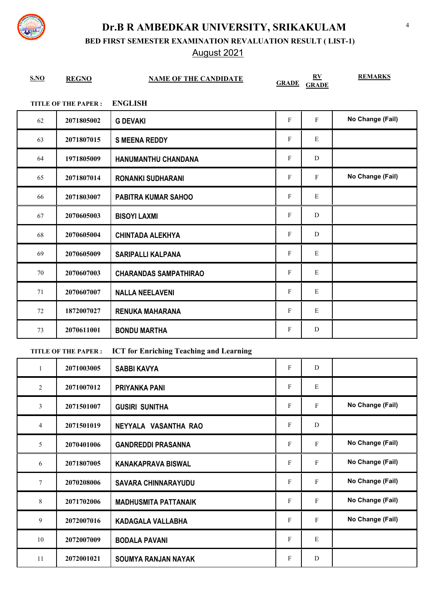

**BED FIRST SEMESTER EXAMINATION REVALUATION RESULT ( LIST-1)**

August 2021

| S.NO | <b>REGNO</b>               | <b>NAME OF THE CANDIDATE</b> | <b>GRADE</b> | $\mathbf{R} \mathbf{V}$<br><b>GRADE</b> | <b>REMARKS</b>   |
|------|----------------------------|------------------------------|--------------|-----------------------------------------|------------------|
|      | <b>TITLE OF THE PAPER:</b> | <b>ENGLISH</b>               |              |                                         |                  |
| 62   | 2071805002                 | <b>G DEVAKI</b>              | $\mathbf F$  | F                                       | No Change (Fail) |
| 63   | 2071807015                 | <b>S MEENA REDDY</b>         | F            | E                                       |                  |
| 64   | 1971805009                 | HANUMANTHU CHANDANA          | $\mathbf{F}$ | D                                       |                  |
| 65   | 2071807014                 | <b>RONANKI SUDHARANI</b>     | $\mathbf F$  | $\mathbf{F}$                            | No Change (Fail) |
| 66   | 2071803007                 | <b>PABITRA KUMAR SAHOO</b>   | F            | E                                       |                  |
| 67   | 2070605003                 | <b>BISOYI LAXMI</b>          | F            | D                                       |                  |
| 68   | 2070605004                 | <b>CHINTADA ALEKHYA</b>      | $\mathbf{F}$ | D                                       |                  |
| 69   | 2070605009                 | <b>SARIPALLI KALPANA</b>     | ${\bf F}$    | ${\bf E}$                               |                  |
| 70   | 2070607003                 | <b>CHARANDAS SAMPATHIRAO</b> | $\mathbf F$  | $\mathbf E$                             |                  |
| 71   | 2070607007                 | <b>NALLA NEELAVENI</b>       | F            | E                                       |                  |
| 72   | 1872007027                 | <b>RENUKA MAHARANA</b>       | $\mathbf{F}$ | E                                       |                  |
| 73   | 2070611001                 | <b>BONDU MARTHA</b>          | F            | D                                       |                  |

#### **TITLE OF THE PAPER : ICT for Enriching Teaching and Learning**

| 1              | 2071003005 | <b>SABBI KAVYA</b>          | F            | D            |                  |
|----------------|------------|-----------------------------|--------------|--------------|------------------|
| 2              | 2071007012 | <b>PRIYANKA PANI</b>        | $\mathbf{F}$ | E            |                  |
| 3              | 2071501007 | <b>GUSIRI SUNITHA</b>       | $\mathbf F$  | ${\bf F}$    | No Change (Fail) |
| $\overline{4}$ | 2071501019 | NEYYALA VASANTHA RAO        | $\mathbf{F}$ | D            |                  |
| 5              | 2070401006 | <b>GANDREDDI PRASANNA</b>   | $\mathbf{F}$ | F            | No Change (Fail) |
| 6              | 2071807005 | <b>KANAKAPRAVA BISWAL</b>   | $\mathbf{F}$ | F            | No Change (Fail) |
| $\tau$         | 2070208006 | <b>SAVARA CHINNARAYUDU</b>  | $\mathbf{F}$ | $\mathbf{F}$ | No Change (Fail) |
| 8              | 2071702006 | <b>MADHUSMITA PATTANAIK</b> | $\mathbf{F}$ | F            | No Change (Fail) |
| 9              | 2072007016 | KADAGALA VALLABHA           | $\mathbf{F}$ | F            | No Change (Fail) |
| 10             | 2072007009 | <b>BODALA PAVANI</b>        | $\mathbf{F}$ | E            |                  |
| 11             | 2072001021 | <b>SOUMYA RANJAN NAYAK</b>  | $\mathbf{F}$ | D            |                  |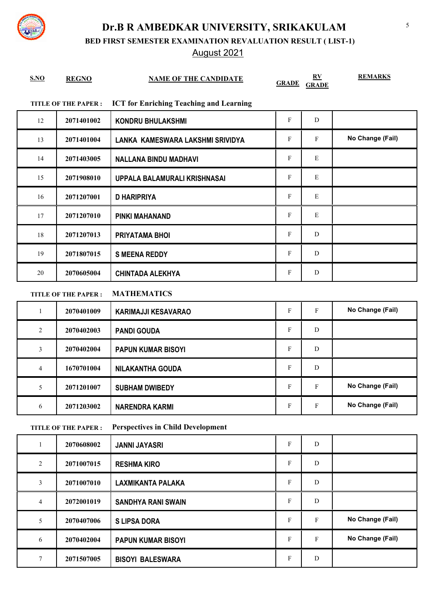**BED FIRST SEMESTER EXAMINATION REVALUATION RESULT ( LIST-1)**

## August 2021

| S.NO         | <b>REGNO</b>               | <b>NAME OF THE CANDIDATE</b>                   | <b>GRADE</b> | $\bf{RV}$<br><b>GRADE</b> | <b>REMARKS</b>   |
|--------------|----------------------------|------------------------------------------------|--------------|---------------------------|------------------|
|              | <b>TITLE OF THE PAPER:</b> | <b>ICT for Enriching Teaching and Learning</b> |              |                           |                  |
| 12           | 2071401002                 | <b>KONDRU BHULAKSHMI</b>                       | $\mathbf{F}$ | D                         |                  |
| 13           | 2071401004                 | LANKA KAMESWARA LAKSHMI SRIVIDYA               | $\mathbf{F}$ | $\mathbf{F}$              | No Change (Fail) |
| 14           | 2071403005                 | <b>NALLANA BINDU MADHAVI</b>                   | $\mathbf F$  | $\mathbf E$               |                  |
| 15           | 2071908010                 | UPPALA BALAMURALI KRISHNASAI                   | F            | E                         |                  |
| 16           | 2071207001                 | <b>D HARIPRIYA</b>                             | $\mathbf F$  | $\mathbf E$               |                  |
| 17           | 2071207010                 | <b>PINKI MAHANAND</b>                          | $\mathbf{F}$ | E                         |                  |
| 18           | 2071207013                 | PRIYATAMA BHOI                                 | $\mathbf{F}$ | D                         |                  |
| 19           | 2071807015                 | <b>S MEENA REDDY</b>                           | F            | D                         |                  |
| 20           | 2070605004                 | <b>CHINTADA ALEKHYA</b>                        | F            | D                         |                  |
|              | <b>TITLE OF THE PAPER:</b> | <b>MATHEMATICS</b>                             |              |                           |                  |
| $\mathbf{1}$ | 2070401009                 | <b>KARIMAJJI KESAVARAO</b>                     | $\mathbf F$  | $\mathbf{F}$              | No Change (Fail) |
| 2            | 2070402003                 | <b>PANDI GOUDA</b>                             | F            | D                         |                  |
|              |                            |                                                |              |                           |                  |

|   | 2070402004 | <b>PAPUN KUMAR BISOYI</b> | F | D |                  |
|---|------------|---------------------------|---|---|------------------|
|   | 1670701004 | <b>NILAKANTHA GOUDA</b>   | F | D |                  |
|   | 2071201007 | <b>SUBHAM DWIBEDY</b>     | F | F | No Change (Fail) |
| 6 | 2071203002 | NARENDRA KARMI            | F | F | No Change (Fail) |

#### **TITLE OF THE PAPER : Perspectives in Child Development**

|                | 2070608002 | <b>JANNI JAYASRI</b>      | F | D |                  |
|----------------|------------|---------------------------|---|---|------------------|
| $\overline{2}$ | 2071007015 | <b>RESHMA KIRO</b>        | F | D |                  |
| 3              | 2071007010 | <b>LAXMIKANTA PALAKA</b>  | F | D |                  |
| 4              | 2072001019 | <b>SANDHYA RANI SWAIN</b> | F | D |                  |
| 5              | 2070407006 | <b>S LIPSA DORA</b>       | F | F | No Change (Fail) |
| 6              | 2070402004 | <b>PAPUN KUMAR BISOYI</b> | F | F | No Change (Fail) |
| 7              | 2071507005 | <b>BISOYI BALESWARA</b>   | F | D |                  |

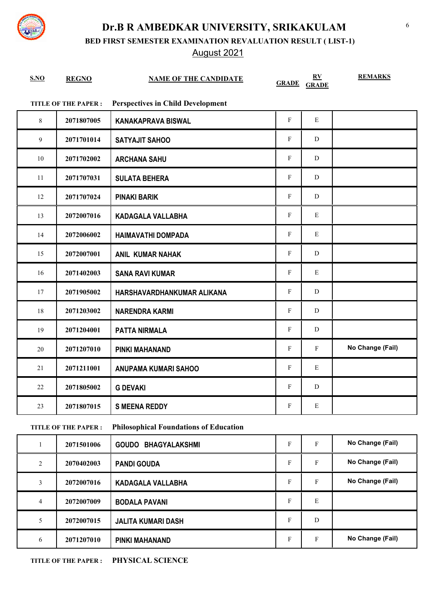**BED FIRST SEMESTER EXAMINATION REVALUATION RESULT ( LIST-1)**

## August 2021

| S.NO   | <b>REGNO</b>               | <b>NAME OF THE CANDIDATE</b>             |             | $\underline{\mathbf{R}}\underline{\mathbf{V}}$<br><b>GRADE GRADE</b> | <b>REMARKS</b>   |
|--------|----------------------------|------------------------------------------|-------------|----------------------------------------------------------------------|------------------|
|        | <b>TITLE OF THE PAPER:</b> | <b>Perspectives in Child Development</b> |             |                                                                      |                  |
| 8      | 2071807005                 | <b>KANAKAPRAVA BISWAL</b>                | $\mathbf F$ | $\mathbf E$                                                          |                  |
| 9      | 2071701014                 | <b>SATYAJIT SAHOO</b>                    | ${\bf F}$   | ${\bf D}$                                                            |                  |
| $10\,$ | 2071702002                 | <b>ARCHANA SAHU</b>                      | $\mathbf F$ | ${\bf D}$                                                            |                  |
| 11     | 2071707031                 | <b>SULATA BEHERA</b>                     | ${\bf F}$   | ${\bf D}$                                                            |                  |
| 12     | 2071707024                 | <b>PINAKI BARIK</b>                      | ${\bf F}$   | ${\bf D}$                                                            |                  |
| 13     | 2072007016                 | <b>KADAGALA VALLABHA</b>                 | ${\bf F}$   | ${\bf E}$                                                            |                  |
| 14     | 2072006002                 | <b>HAIMAVATHI DOMPADA</b>                | ${\bf F}$   | ${\bf E}$                                                            |                  |
| 15     | 2072007001                 | <b>ANIL KUMAR NAHAK</b>                  | ${\bf F}$   | ${\bf D}$                                                            |                  |
| 16     | 2071402003                 | <b>SANA RAVI KUMAR</b>                   | ${\bf F}$   | ${\bf E}$                                                            |                  |
| $17\,$ | 2071905002                 | HARSHAVARDHANKUMAR ALIKANA               | ${\bf F}$   | D                                                                    |                  |
| $18\,$ | 2071203002                 | <b>NARENDRA KARMI</b>                    | ${\bf F}$   | D                                                                    |                  |
| 19     | 2071204001                 | <b>PATTA NIRMALA</b>                     | $\mathbf F$ | D                                                                    |                  |
| $20\,$ | 2071207010                 | <b>PINKI MAHANAND</b>                    | $\mathbf F$ | $\mathbf F$                                                          | No Change (Fail) |
| 21     | 2071211001                 | ANUPAMA KUMARI SAHOO                     | ${\bf F}$   | E                                                                    |                  |
| 22     | 2071805002                 | <b>G DEVAKI</b>                          | ${\bf F}$   | D                                                                    |                  |
| 23     | 2071807015                 | <b>S MEENA REDDY</b>                     | ${\bf F}$   | Ε                                                                    |                  |
|        | TITLE OF THE PAPER $\cdot$ | Philosonhical Foundations of Education   |             |                                                                      |                  |

**TITLE OF THE PAPER : Philosophical Foundations of Education**

|   | 2071501006 | <b>BHAGYALAKSHMI</b><br><b>GOUDO</b> | F | F | No Change (Fail) |
|---|------------|--------------------------------------|---|---|------------------|
| 2 | 2070402003 | <b>PANDI GOUDA</b>                   | F | F | No Change (Fail) |
| 3 | 2072007016 | <b>KADAGALA VALLABHA</b>             | F | F | No Change (Fail) |
| 4 | 2072007009 | <b>BODALA PAVANI</b>                 | F | E |                  |
| 5 | 2072007015 | <b>JALITA KUMARI DASH</b>            | F | D |                  |
| 6 | 2071207010 | PINKI MAHANAND                       | F | F | No Change (Fail) |

**TITLE OF THE PAPER : PHYSICAL SCIENCE**

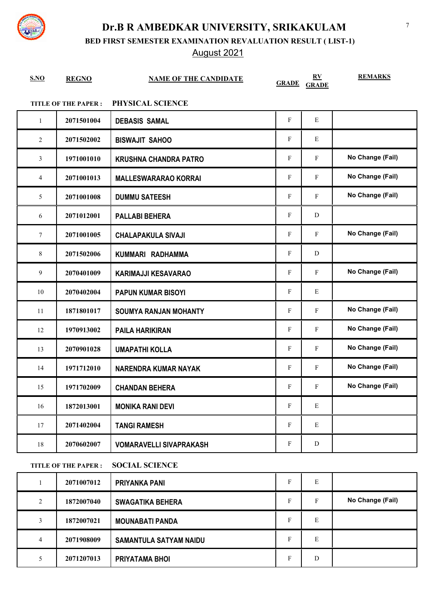

**BED FIRST SEMESTER EXAMINATION REVALUATION RESULT ( LIST-1)**

### August 2021

| S.NO | <b>REGNO</b>               | <b>NAME OF THE CANDIDATE</b>   | <b>GRADE</b>              | $\underline{\mathbf{R}}\underline{\mathbf{V}}$<br><b>GRADE</b> | <b>REMARKS</b>   |
|------|----------------------------|--------------------------------|---------------------------|----------------------------------------------------------------|------------------|
|      | <b>TITLE OF THE PAPER:</b> | PHYSICAL SCIENCE               |                           |                                                                |                  |
| 1    | 2071501004                 | <b>DEBASIS SAMAL</b>           | $\mathbf{F}$              | E                                                              |                  |
| 2    | 2071502002                 | <b>BISWAJIT SAHOO</b>          | F                         | Е                                                              |                  |
| 3    | 1971001010                 | <b>KRUSHNA CHANDRA PATRO</b>   | F                         | F                                                              | No Change (Fail) |
| 4    | 2071001013                 | <b>MALLESWARARAO KORRAI</b>    | $\mathbf F$               | ${\bf F}$                                                      | No Change (Fail) |
| 5    | 2071001008                 | <b>DUMMU SATEESH</b>           | $\mathbf F$               | F                                                              | No Change (Fail) |
| 6    | 2071012001                 | <b>PALLABI BEHERA</b>          | F                         | D                                                              |                  |
| 7    | 2071001005                 | <b>CHALAPAKULA SIVAJI</b>      | F                         | ${\bf F}$                                                      | No Change (Fail) |
| 8    | 2071502006                 | KUMMARI RADHAMMA               | $\mathbf F$               | D                                                              |                  |
| 9    | 2070401009                 | <b>KARIMAJJI KESAVARAO</b>     | F                         | F                                                              | No Change (Fail) |
| 10   | 2070402004                 | <b>PAPUN KUMAR BISOYI</b>      | $\mathbf F$               | E                                                              |                  |
| 11   | 1871801017                 | <b>SOUMYA RANJAN MOHANTY</b>   | F                         | F                                                              | No Change (Fail) |
| 12   | 1970913002                 | <b>PAILA HARIKIRAN</b>         | F                         | ${\bf F}$                                                      | No Change (Fail) |
| 13   | 2070901028                 | <b>UMAPATHI KOLLA</b>          | $\mathbf F$               | ${\bf F}$                                                      | No Change (Fail) |
| 14   | 1971712010                 | <b>NARENDRA KUMAR NAYAK</b>    | F                         | ${\bf F}$                                                      | No Change (Fail) |
| 15   | 1971702009                 | <b>CHANDAN BEHERA</b>          | F                         | F                                                              | No Change (Fail) |
| 16   | 1872013001                 | <b>MONIKA RANI DEVI</b>        | $\boldsymbol{\mathrm{F}}$ | ${\bf E}$                                                      |                  |
| 17   | 2071402004                 | <b>TANGI RAMESH</b>            | $\mathbf F$               | Е                                                              |                  |
| 18   | 2070602007                 | <b>VOMARAVELLI SIVAPRAKASH</b> | F                         | D                                                              |                  |

#### **TITLE OF THE PAPER : SOCIAL SCIENCE**

|   | 2071007012 | <b>PRIYANKA PANI</b>          | Е | E |                  |
|---|------------|-------------------------------|---|---|------------------|
| 2 | 1872007040 | <b>SWAGATIKA BEHERA</b>       | F | F | No Change (Fail) |
|   | 1872007021 | <b>MOUNABATI PANDA</b>        | Е | E |                  |
| 4 | 2071908009 | <b>SAMANTULA SATYAM NAIDU</b> | F | E |                  |
|   | 2071207013 | PRIYATAMA BHOI                | Е | D |                  |